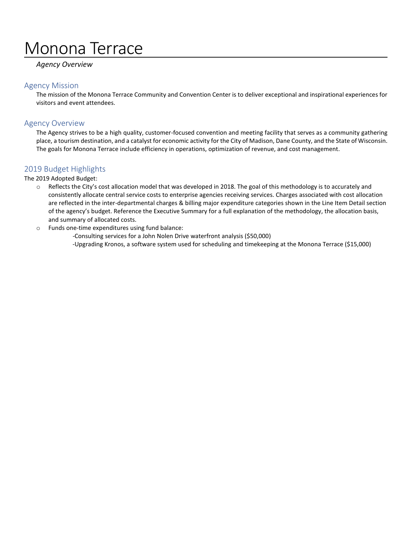# Monona Terrace

# *Agency Overview*

# Agency Mission

The mission of the Monona Terrace Community and Convention Center is to deliver exceptional and inspirational experiences for visitors and event attendees.

# Agency Overview

The Agency strives to be a high quality, customer-focused convention and meeting facility that serves as a community gathering place, a tourism destination, and a catalyst for economic activity for the City of Madison, Dane County, and the State of Wisconsin. The goals for Monona Terrace include efficiency in operations, optimization of revenue, and cost management.

# 2019 Budget Highlights

### The 2019 Adopted Budget:

- o Reflects the City's cost allocation model that was developed in 2018. The goal of this methodology is to accurately and consistently allocate central service costs to enterprise agencies receiving services. Charges associated with cost allocation are reflected in the inter-departmental charges & billing major expenditure categories shown in the Line Item Detail section of the agency's budget. Reference the Executive Summary for a full explanation of the methodology, the allocation basis, and summary of allocated costs.
- o Funds one-time expenditures using fund balance:

-Consulting services for a John Nolen Drive waterfront analysis (\$50,000) -Upgrading Kronos, a software system used for scheduling and timekeeping at the Monona Terrace (\$15,000)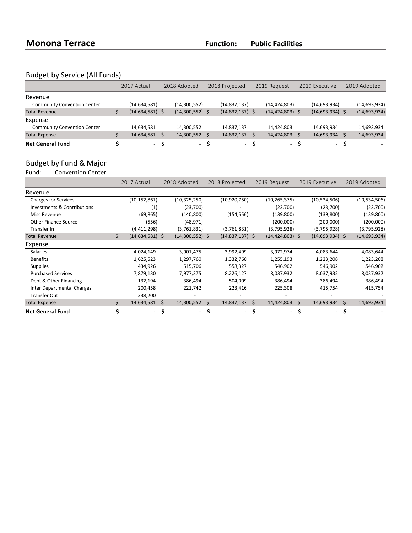# Budget by Service (All Funds)

|                                    | 2017 Actual       | 2018 Adopted |                   | 2018 Projected |                   | 2019 Request |                     | 2019 Executive |                   | 2019 Adopted |                |
|------------------------------------|-------------------|--------------|-------------------|----------------|-------------------|--------------|---------------------|----------------|-------------------|--------------|----------------|
| Revenue                            |                   |              |                   |                |                   |              |                     |                |                   |              |                |
| <b>Community Convention Center</b> | (14, 634, 581)    |              | (14,300,552)      |                | (14, 837, 137)    |              | (14, 424, 803)      |                | (14, 693, 934)    |              | (14,693,934)   |
| <b>Total Revenue</b>               | $(14,634,581)$ \$ |              | $(14,300,552)$ \$ |                | $(14,837,137)$ \$ |              | $(14, 424, 803)$ \$ |                | $(14,693,934)$ \$ |              | (14, 693, 934) |
| Expense                            |                   |              |                   |                |                   |              |                     |                |                   |              |                |
| <b>Community Convention Center</b> | 14,634,581        |              | 14,300,552        |                | 14,837,137        |              | 14,424,803          |                | 14,693,934        |              | 14,693,934     |
| <b>Total Expense</b>               | 14,634,581        |              | 14,300,552        |                | 14,837,137        |              | 14,424,803          |                | 14,693,934        |              | 14,693,934     |
| <b>Net General Fund</b>            | - S               |              | - S               |                | - S               |              | - S                 |                | $\sim$            |              |                |

# Budget by Fund & Major<br>Fund: Convention Center

Fund: Convention Center

|                                   |    | 2017 Actual         |    | 2018 Adopted      |    | 2018 Projected    |     | 2019 Request             |    | 2019 Executive    |     | 2019 Adopted   |  |
|-----------------------------------|----|---------------------|----|-------------------|----|-------------------|-----|--------------------------|----|-------------------|-----|----------------|--|
| Revenue                           |    |                     |    |                   |    |                   |     |                          |    |                   |     |                |  |
| <b>Charges for Services</b>       |    | (10, 152, 861)      |    | (10, 325, 250)    |    | (10,920,750)      |     | (10, 265, 375)           |    | (10,534,506)      |     | (10,534,506)   |  |
| Investments & Contributions       |    | (1)                 |    | (23,700)          |    |                   |     | (23,700)                 |    | (23,700)          |     | (23,700)       |  |
| Misc Revenue                      |    | (69, 865)           |    | (140, 800)        |    | (154, 556)        |     | (139,800)                |    | (139,800)         |     | (139, 800)     |  |
| <b>Other Finance Source</b>       |    | (556)               |    | (48, 971)         |    |                   |     | (200,000)                |    | (200,000)         |     | (200,000)      |  |
| Transfer In                       |    | (4,411,298)         |    | (3,761,831)       |    | (3,761,831)       |     | (3,795,928)              |    | (3,795,928)       |     | (3,795,928)    |  |
| <b>Total Revenue</b>              | Ś. | $(14, 634, 581)$ \$ |    | $(14,300,552)$ \$ |    | $(14,837,137)$ \$ |     | $(14, 424, 803)$ \$      |    | $(14,693,934)$ \$ |     | (14, 693, 934) |  |
| Expense                           |    |                     |    |                   |    |                   |     |                          |    |                   |     |                |  |
| <b>Salaries</b>                   |    | 4,024,149           |    | 3,901,475         |    | 3,992,499         |     | 3,972,974                |    | 4,083,644         |     | 4,083,644      |  |
| <b>Benefits</b>                   |    | 1,625,523           |    | 1,297,760         |    | 1,332,760         |     | 1,255,193                |    | 1,223,208         |     | 1,223,208      |  |
| <b>Supplies</b>                   |    | 434,926             |    | 515,706           |    | 558,327           |     | 546,902                  |    | 546,902           |     | 546,902        |  |
| <b>Purchased Services</b>         |    | 7,879,130           |    | 7,977,375         |    | 8,226,127         |     | 8,037,932                |    | 8,037,932         |     | 8,037,932      |  |
| Debt & Other Financing            |    | 132,194             |    | 386,494           |    | 504,009           |     | 386,494                  |    | 386,494           |     | 386,494        |  |
| <b>Inter Departmental Charges</b> |    | 200,458             |    | 221,742           |    | 223,416           |     | 225,308                  |    | 415,754           |     | 415,754        |  |
| <b>Transfer Out</b>               |    | 338,200             |    |                   |    |                   |     |                          |    |                   |     |                |  |
| <b>Total Expense</b>              | Ś. | 14,634,581          | Ŝ. | 14,300,552        | Ŝ. | 14,837,137        | Ŝ.  | 14,424,803               | Ŝ. | 14,693,934        | \$  | 14,693,934     |  |
| <b>Net General Fund</b>           | \$ | - \$                |    | - \$              |    | $\sim$            | \$. | $\overline{\phantom{0}}$ | \$ | $\sim$            | \$. |                |  |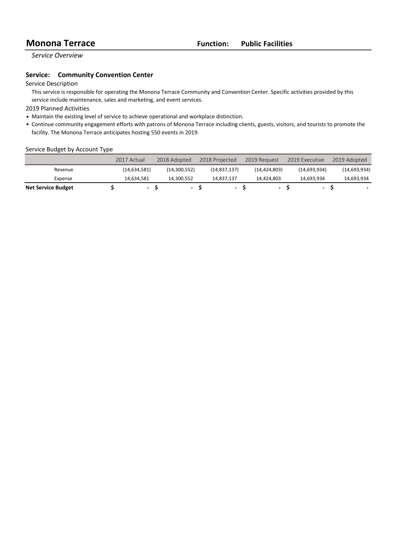*Service Overview*

### **Service:** Community Convention Center

### Service Description

This service is responsible for operating the Monona Terrace Community and Convention Center. Specific activities provided by this service include maintenance, sales and marketing, and event services.

2019 Planned Activities

- Maintain the existing level of service to achieve operational and workplace distinction.
- Continue community engagement efforts with patrons of Monona Terrace including clients, guests, visitors, and tourists to promote the facility. The Monona Terrace anticipates hosting 550 events in 2019.

### Service Budget by Account Type

|                           | 2017 Actual              | 2018 Adopted             | 2018 Projected           | 2019 Request   | 2019 Executive | 2019 Adopted |
|---------------------------|--------------------------|--------------------------|--------------------------|----------------|----------------|--------------|
| Revenue                   | (14, 634, 581)           | (14,300,552)             | (14, 837, 137)           | (14, 424, 803) | (14,693,934)   | (14,693,934) |
| Expense                   | 14.634.581               | 14.300.552               | 14.837.137               | 14.424.803     | 14.693.934     | 14,693,934   |
| <b>Net Service Budget</b> | $\overline{\phantom{0}}$ | $\overline{\phantom{a}}$ | $\overline{\phantom{0}}$ |                | -              |              |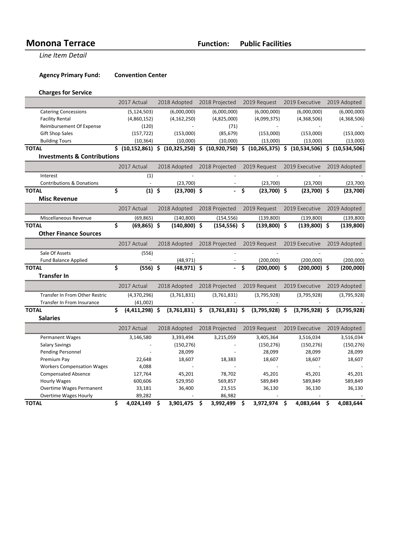**Monona Terrace Trace Function: Public Facilities** 

**Line Item Detail** 

**Agency Primary Fund: Convention Center** 

# **Charges for Service**

|                                        |    | 2017 Actual      |   | 2018 Adopted           | 2018 Projected |                                                                                | 2019 Request |                  | 2019 Executive |                  |           | 2019 Adopted |
|----------------------------------------|----|------------------|---|------------------------|----------------|--------------------------------------------------------------------------------|--------------|------------------|----------------|------------------|-----------|--------------|
| <b>Catering Concessions</b>            |    | (5, 124, 503)    |   | (6,000,000)            |                | (6,000,000)                                                                    |              | (6,000,000)      |                | (6,000,000)      |           | (6,000,000)  |
| <b>Facility Rental</b>                 |    | (4,860,152)      |   | (4, 162, 250)          |                | (4,825,000)                                                                    |              | (4,099,375)      |                | (4,368,506)      |           | (4,368,506)  |
| Reimbursement Of Expense               |    | (120)            |   |                        |                | (71)                                                                           |              |                  |                |                  |           |              |
| <b>Gift Shop Sales</b>                 |    | (157, 722)       |   | (85, 679)<br>(153,000) |                |                                                                                | (153,000)    |                  | (153,000)      |                  | (153,000) |              |
| <b>Building Tours</b>                  |    | (10, 364)        |   | (10,000)               |                | (10,000)                                                                       |              | (13,000)         |                | (13,000)         |           | (13,000)     |
| <b>TOTAL</b>                           |    |                  |   |                        |                | $$ (10,152,861) $ (10,325,250) $ (10,920,750) $ (10,265,375) $ (10,534,506) $$ |              |                  |                |                  |           | (10,534,506) |
| <b>Investments &amp; Contributions</b> |    |                  |   |                        |                |                                                                                |              |                  |                |                  |           |              |
|                                        |    | 2017 Actual      |   | 2018 Adopted           |                | 2018 Projected                                                                 |              | 2019 Request     |                | 2019 Executive   |           | 2019 Adopted |
| Interest                               |    | (1)              |   |                        |                |                                                                                |              |                  |                |                  |           |              |
| <b>Contributions &amp; Donations</b>   |    |                  |   | (23,700)               |                | $\blacksquare$                                                                 |              | (23,700)         |                | (23,700)         |           | (23,700)     |
| <b>TOTAL</b>                           | \$ | $(1)$ \$         |   | $(23,700)$ \$          |                | ä,                                                                             | \$           | $(23,700)$ \$    |                | $(23,700)$ \$    |           | (23,700)     |
| <b>Misc Revenue</b>                    |    |                  |   |                        |                |                                                                                |              |                  |                |                  |           |              |
|                                        |    | 2017 Actual      |   | 2018 Adopted           |                | 2018 Projected                                                                 |              | 2019 Request     |                | 2019 Executive   |           | 2019 Adopted |
| Miscellaneous Revenue                  |    | (69, 865)        |   | (140, 800)             |                | (154, 556)                                                                     |              | (139, 800)       |                | (139, 800)       |           | (139, 800)   |
| <b>TOTAL</b>                           | \$ | $(69, 865)$ \$   |   | $(140, 800)$ \$        |                | $(154, 556)$ \$                                                                |              | $(139,800)$ \$   |                | $(139,800)$ \$   |           | (139, 800)   |
| <b>Other Finance Sources</b>           |    |                  |   |                        |                |                                                                                |              |                  |                |                  |           |              |
|                                        |    | 2017 Actual      |   | 2018 Adopted           |                | 2018 Projected                                                                 |              | 2019 Request     |                | 2019 Executive   |           | 2019 Adopted |
| Sale Of Assets                         |    | (556)            |   |                        |                |                                                                                |              |                  |                |                  |           |              |
| <b>Fund Balance Applied</b>            |    |                  |   | (48, 971)              |                |                                                                                |              | (200,000)        |                | (200,000)        |           | (200,000)    |
| <b>TOTAL</b>                           | \$ | $(556)$ \$       |   | $(48,971)$ \$          |                |                                                                                | \$           | $(200,000)$ \$   |                | $(200,000)$ \$   |           | (200,000)    |
|                                        |    |                  |   |                        |                |                                                                                |              |                  |                |                  |           |              |
| <b>Transfer In</b>                     |    |                  |   |                        |                |                                                                                |              |                  |                |                  |           |              |
|                                        |    | 2017 Actual      |   | 2018 Adopted           | 2018 Projected |                                                                                | 2019 Request |                  | 2019 Executive |                  |           | 2019 Adopted |
| Transfer In From Other Restric         |    | (4,370,296)      |   | (3,761,831)            |                | (3,761,831)                                                                    |              | (3,795,928)      |                | (3,795,928)      |           | (3,795,928)  |
| Transfer In From Insurance             |    | (41,002)         |   |                        |                |                                                                                |              |                  |                |                  |           |              |
| <b>TOTAL</b>                           | Ś. | $(4,411,298)$ \$ |   | $(3,761,831)$ \$       |                | $(3,761,831)$ \$                                                               |              | $(3,795,928)$ \$ |                | $(3,795,928)$ \$ |           | (3,795,928)  |
| <b>Salaries</b>                        |    |                  |   |                        |                |                                                                                |              |                  |                |                  |           |              |
|                                        |    | 2017 Actual      |   | 2018 Adopted           |                | 2018 Projected                                                                 |              | 2019 Request     |                | 2019 Executive   |           | 2019 Adopted |
| <b>Permanent Wages</b>                 |    | 3,146,580        |   | 3,393,494              |                | 3,215,059                                                                      |              | 3,405,364        |                | 3,516,034        |           | 3,516,034    |
| <b>Salary Savings</b>                  |    |                  |   | (150, 276)             |                |                                                                                |              | (150, 276)       |                | (150, 276)       |           | (150, 276)   |
| Pending Personnel                      |    |                  |   | 28,099                 |                |                                                                                |              | 28,099           |                | 28,099           |           | 28,099       |
| Premium Pay                            |    | 22,648           |   | 18,607                 |                | 18,383                                                                         |              | 18,607           |                | 18,607           |           | 18,607       |
| <b>Workers Compensation Wages</b>      |    | 4,088            |   |                        |                |                                                                                |              |                  |                |                  |           |              |
| <b>Compensated Absence</b>             |    | 127,764          |   | 45,201                 |                | 78,702                                                                         |              | 45,201           |                | 45,201           |           | 45,201       |
| <b>Hourly Wages</b>                    |    | 600,606          |   | 529,950                |                | 569,857                                                                        |              | 589,849          |                | 589,849          |           | 589,849      |
| <b>Overtime Wages Permanent</b>        |    | 33,181           |   | 36,400                 |                | 23,515                                                                         |              | 36,130           |                | 36,130           |           | 36,130       |
| <b>Overtime Wages Hourly</b>           |    | 89,282           |   |                        |                | 86,982                                                                         |              |                  |                |                  |           |              |
| <b>TOTAL</b>                           | \$ | 4,024,149        | Ś | 3,901,475              | Ŝ.             | 3,992,499                                                                      | Ŝ.           | 3,972,974        | Ś.             | 4,083,644        | Ŝ.        | 4,083,644    |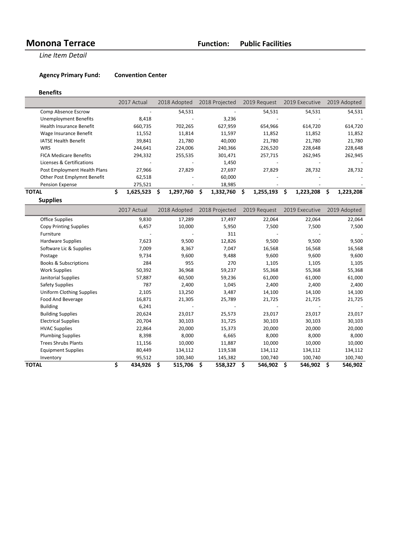**Line Item Detail** 

**Agency Primary Fund: Convention Center** 

### **Benefits**

|                                 | 2017 Actual     | 2018 Adopted   | 2018 Projected | 2019 Request             | 2019 Executive | 2019 Adopted   |
|---------------------------------|-----------------|----------------|----------------|--------------------------|----------------|----------------|
| Comp Absence Escrow             |                 | 54,531         |                | 54,531                   | 54,531         | 54,531         |
| <b>Unemployment Benefits</b>    | 8,418           | -              | 3,236          |                          |                |                |
| <b>Health Insurance Benefit</b> | 660,735         | 702,265        | 627,959        | 654,966                  | 614,720        | 614,720        |
| Wage Insurance Benefit          | 11,552          | 11,814         | 11,597         | 11,852                   | 11,852         | 11,852         |
| <b>IATSE Health Benefit</b>     | 39,841          | 21,780         | 40,000         | 21,780                   | 21,780         | 21,780         |
| <b>WRS</b>                      | 244,641         | 224.006        | 240,366        | 226,520                  | 228,648        | 228,648        |
| <b>FICA Medicare Benefits</b>   | 294,332         | 255,535        | 301,471        | 257,715                  | 262,945        | 262,945        |
| Licenses & Certifications       |                 |                | 1,450          |                          |                |                |
| Post Employment Health Plans    | 27.966          | 27.829         | 27.697         | 27.829                   | 28,732         | 28,732         |
| Other Post Emplymnt Benefit     | 62,518          |                | 60,000         | $\overline{\phantom{0}}$ |                |                |
| Pension Expense                 | 275,521         |                | 18,985         |                          |                |                |
| ΤΟΤΑL                           | 1,625,523<br>S. | 1,297,760<br>S | 1,332,760<br>s | 1,255,193<br>s.          | 1,223,208<br>S | 1,223,208<br>Ś |
| <b>Supplies</b>                 |                 |                |                |                          |                |                |

|                                  | 2017 Actual   | 2018 Adopted     | 2018 Projected | 2019 Request  | 2019 Executive | 2019 Adopted |
|----------------------------------|---------------|------------------|----------------|---------------|----------------|--------------|
| Office Supplies                  | 9,830         | 17,289           | 17,497         | 22,064        | 22,064         | 22,064       |
| <b>Copy Printing Supplies</b>    | 6,457         | 10,000           | 5,950          | 7,500         | 7,500          | 7,500        |
| Furniture                        |               |                  | 311            |               |                |              |
| Hardware Supplies                | 7,623         | 9,500            | 12,826         | 9,500         | 9,500          | 9,500        |
| Software Lic & Supplies          | 7,009         | 8,367            | 7,047          | 16,568        | 16,568         | 16,568       |
| Postage                          | 9,734         | 9,600            | 9,488          | 9,600         | 9,600          | 9,600        |
| <b>Books &amp; Subscriptions</b> | 284           | 955              | 270            | 1,105         | 1,105          | 1,105        |
| <b>Work Supplies</b>             | 50,392        | 36,968           | 59,237         | 55,368        | 55,368         | 55,368       |
| Janitorial Supplies              | 57,887        | 60,500           | 59,236         | 61,000        | 61,000         | 61,000       |
| <b>Safety Supplies</b>           | 787           | 2,400            | 1,045          | 2,400         | 2,400          | 2,400        |
| Uniform Clothing Supplies        | 2,105         | 13,250           | 3,487          | 14,100        | 14,100         | 14,100       |
| Food And Beverage                | 16,871        | 21,305           | 25,789         | 21,725        | 21,725         | 21,725       |
| <b>Building</b>                  | 6,241         |                  |                |               |                |              |
| <b>Building Supplies</b>         | 20,624        | 23,017           | 25,573         | 23,017        | 23,017         | 23,017       |
| <b>Electrical Supplies</b>       | 20,704        | 30,103           | 31,725         | 30,103        | 30,103         | 30,103       |
| <b>HVAC Supplies</b>             | 22,864        | 20,000           | 15,373         | 20,000        | 20,000         | 20,000       |
| <b>Plumbing Supplies</b>         | 8,398         | 8,000            | 6,665          | 8,000         | 8,000          | 8,000        |
| <b>Trees Shrubs Plants</b>       | 11,156        | 10,000           | 11,887         | 10,000        | 10,000         | 10,000       |
| <b>Equipment Supplies</b>        | 80,449        | 134,112          | 119,538        | 134,112       | 134,112        | 134,112      |
| Inventory                        | 95,512        | 100,340          | 145,382        | 100,740       | 100,740        | 100,740      |
| <b>TOTAL</b>                     | \$<br>434,926 | Ś.<br>515,706 \$ | 558,327        | \$<br>546,902 | Ś.<br>546,902  | 546,902<br>S |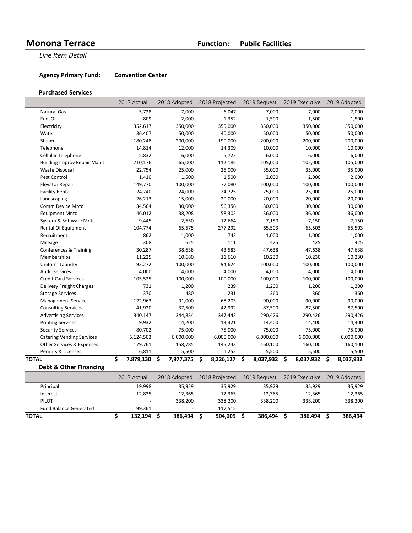**Line Item Detail** 

**Agency Primary Fund: Convention Center** 

### **Purchased Services**

|                                     | 2017 Actual     | 2018 Adopted    | 2018 Projected  | 2019 Request     | 2019 Executive  | 2019 Adopted    |
|-------------------------------------|-----------------|-----------------|-----------------|------------------|-----------------|-----------------|
| <b>Natural Gas</b>                  | 5,728           | 7,000           | 6,047           | 7,000            | 7,000           | 7,000           |
| Fuel Oil                            | 809             | 2,000           | 1,352           | 1,500            | 1,500           | 1,500           |
| Electricity                         | 352,617         | 350,000         | 355,000         | 350,000          | 350,000         | 350,000         |
| Water                               | 36,407          | 50,000          | 40,000          | 50,000           | 50,000          | 50,000          |
| Steam                               | 180,248         | 200,000         | 190,000         | 200,000          | 200,000         | 200,000         |
| Telephone                           | 14,814          | 12,000          | 14,309          | 10,000           | 10,000          | 10,000          |
| Cellular Telephone                  | 5,832           | 6,000           | 5,722           | 6,000            | 6,000           | 6,000           |
| <b>Building Improv Repair Maint</b> | 710,176         | 65,000          | 112,185         | 105,000          | 105,000         | 105,000         |
| <b>Waste Disposal</b>               | 22,754          | 25,000          | 25,000          | 35,000           | 35,000          | 35,000          |
| Pest Control                        | 1,410           | 1,500           | 1,500           | 2,000            | 2,000           | 2,000           |
| Elevator Repair                     | 149,770         | 100,000         | 77,080          | 100,000          | 100,000         | 100,000         |
| <b>Facility Rental</b>              | 24,240          | 24,000          | 24,725          | 25,000           | 25,000          | 25,000          |
| Landscaping                         | 26,213          | 15,000          | 20,000          | 20,000           | 20,000          | 20,000          |
| Comm Device Mntc                    | 34,564          | 30,000          | 56,356          | 30,000           | 30,000          | 30,000          |
| <b>Equipment Mntc</b>               | 46,012          | 38,208          | 58,302          | 36,000           | 36,000          | 36,000          |
| System & Software Mntc              | 9,445           | 2,650           | 12,664          | 7,150            | 7,150           | 7,150           |
| Rental Of Equipment                 | 104,774         | 65,575          | 277,292         | 65,503           | 65,503          | 65,503          |
| Recruitment                         | 862             | 1,000           | 742             | 1,000            | 1,000           | 1,000           |
| Mileage                             | 308             | 625             | 111             | 425              | 425             | 425             |
| Conferences & Training              | 30,287          | 38,638          | 43,583          | 47,638           | 47,638          | 47,638          |
| Memberships                         | 11,225          | 10,680          | 11,610          | 10,230           | 10,230          | 10,230          |
| Uniform Laundry                     | 93,272          | 100,000         | 94,624          | 100,000          | 100,000         | 100,000         |
| <b>Audit Services</b>               | 4,000           | 4,000           | 4,000           | 4,000            | 4,000           | 4,000           |
| <b>Credit Card Services</b>         | 105,525         | 100,000         | 100,000         | 100,000          | 100,000         | 100,000         |
| Delivery Freight Charges            | 731             | 1,200           | 239             | 1,200            | 1,200           | 1,200           |
| <b>Storage Services</b>             | 370             | 480             | 231             | 360              | 360             | 360             |
| <b>Management Services</b>          | 122,963         | 91,000          | 68,203          | 90,000           | 90,000          | 90,000          |
| <b>Consulting Services</b>          | 41,920          | 37,500          | 42,992          | 87,500           | 87,500          | 87,500          |
| <b>Advertising Services</b>         | 340,147         | 344,834         | 347,442         | 290,426          | 290,426         | 290,426         |
| <b>Printing Services</b>            | 9,932           | 14,200          | 13,321          | 14,400           | 14,400          | 14,400          |
| <b>Security Services</b>            | 80,702          | 75,000          | 75,000          | 75,000           | 75,000          | 75,000          |
| <b>Catering Vending Services</b>    | 5,124,503       | 6,000,000       | 6,000,000       | 6,000,000        | 6,000,000       | 6,000,000       |
| Other Services & Expenses           | 179,761         | 158,785         | 145,243         | 160,100          | 160,100         | 160,100         |
| Permits & Licenses                  | 6,811           | 5,500           | 1,252           | 5,500            | 5,500           | 5,500           |
| TOTAL                               | \$<br>7,879,130 | \$<br>7,977,375 | \$<br>8,226,127 | \$.<br>8,037,932 | \$<br>8,037,932 | \$<br>8,037,932 |

**Debt & Other Financing**

|                               | 2017 Actual | 2018 Adopted | 2018 Projected | 2019 Request             | 2019 Executive | 2019 Adopted |
|-------------------------------|-------------|--------------|----------------|--------------------------|----------------|--------------|
| Principal                     | 19.998      | 35.929       | 35,929         | 35,929                   | 35,929         | 35,929       |
| Interest                      | 12,835      | 12,365       | 12,365         | 12,365                   | 12.365         | 12,365       |
| <b>PILOT</b>                  |             | 338.200      | 338.200        | 338.200                  | 338.200        | 338,200      |
| <b>Fund Balance Generated</b> | 99.361      |              | 117.515        | $\overline{\phantom{0}}$ | -              |              |
| <b>TOTAL</b>                  | 132.194     | 386.494      | 504.009        | 386.494                  | 386.494        | 386,494      |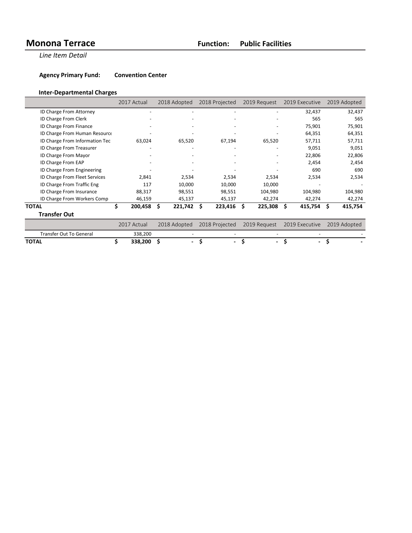**Line Item Detail** 

**Agency Primary Fund: Convention Center** 

# **Inter-Departmental Charges**

|                                | 2017 Actual   | 2018 Adopted                  | 2018 Projected | 2019 Request                   | 2019 Executive | 2019 Adopted |
|--------------------------------|---------------|-------------------------------|----------------|--------------------------------|----------------|--------------|
| ID Charge From Attorney        |               |                               |                |                                | 32,437         | 32,437       |
| ID Charge From Clerk           |               |                               |                |                                | 565            | 565          |
| ID Charge From Finance         |               |                               |                |                                | 75,901         | 75,901       |
| ID Charge From Human Resource  |               |                               |                |                                | 64,351         | 64,351       |
| ID Charge From Information Tec | 63,024        | 65,520                        | 67,194         | 65,520                         | 57,711         | 57,711       |
| ID Charge From Treasurer       |               |                               |                |                                | 9,051          | 9,051        |
| ID Charge From Mayor           |               |                               |                |                                | 22,806         | 22,806       |
| ID Charge From EAP             |               |                               |                |                                | 2,454          | 2,454        |
| ID Charge From Engineering     |               |                               |                |                                | 690            | 690          |
| ID Charge From Fleet Services  | 2,841         | 2,534                         | 2,534          | 2,534                          | 2,534          | 2,534        |
| ID Charge From Traffic Eng     | 117           | 10,000                        | 10,000         | 10,000                         |                |              |
| ID Charge From Insurance       | 88,317        | 98,551                        | 98,551         | 104,980                        | 104,980        | 104,980      |
| ID Charge From Workers Comp    | 46,159        | 45,137                        | 45,137         | 42,274                         | 42,274         | 42,274       |
| <b>TOTAL</b>                   | \$<br>200,458 | \$<br>$221,742$ \$            | 223,416        | 225,308<br>Ŝ.                  | 415,754        | 415,754<br>S |
| <b>Transfer Out</b>            |               |                               |                |                                |                |              |
|                                | 2017 Actual   | 2018 Adopted                  | 2018 Projected | 2019 Request                   | 2019 Executive | 2019 Adopted |
| <b>Transfer Out To General</b> | 338,200       |                               |                |                                |                |              |
| <b>TOTAL</b>                   | 338,200       | Ś<br>$\overline{\phantom{0}}$ | \$<br>۰        | \$<br>$\overline{\phantom{0}}$ | $\blacksquare$ | Ŝ            |